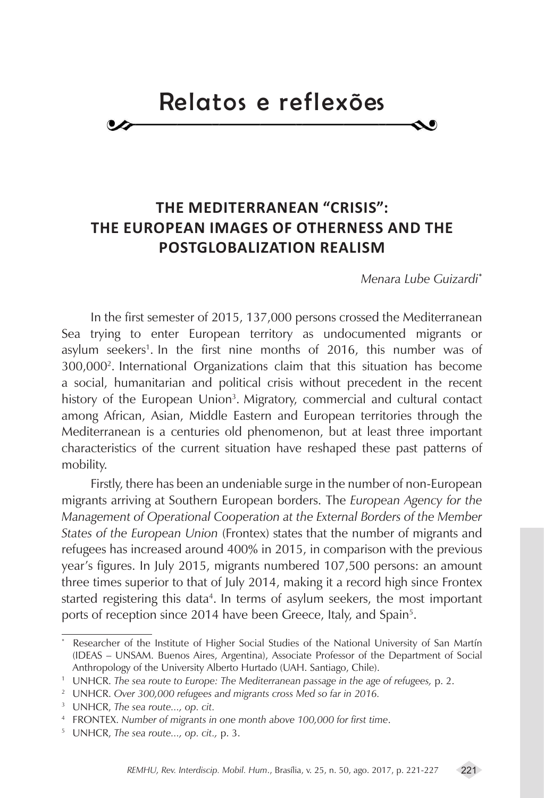## Relatos e reflexões

## **THE MEDITERRANEAN "CRISIS": THE EUROPEAN IMAGES OF OTHERNESS AND THE POSTGLOBALIZATION REALISM**

*Menara Lube Guizardi***<sup>1</sup> \***

In the first semester of 2015, 137,000 persons crossed the Mediterranean Sea trying to enter European territory as undocumented migrants or asylum seekers<sup>1</sup>. In the first nine months of 2016, this number was of 300,0002 . 3 International Organizations claim that this situation has become a social, humanitarian and political crisis without precedent in the recent history of the European Union<sup>3</sup>. Migratory, commercial and cultural contact among African, Asian, Middle Eastern and European territories through the Mediterranean is a centuries old phenomenon, but at least three important characteristics of the current situation have reshaped these past patterns of mobility.

Firstly, there has been an undeniable surge in the number of non-European migrants arriving at Southern European borders. The *European Agency for the Management of Operational Cooperation at the External Borders of the Member States of the European Union* (Frontex) states that the number of migrants and refugees has increased around 400% in 2015, in comparison with the previous year's figures. In July 2015, migrants numbered 107,500 persons: an amount three times superior to that of July 2014, making it a record high since Frontex started registering this data<sup>4</sup>. In terms of asylum seekers, the most important ports of reception since 2014 have been Greece, Italy, and Spain<sup>5</sup>.

<sup>\*</sup> Researcher of the Institute of Higher Social Studies of the National University of San Martín (IDEAS – UNSAM. Buenos Aires, Argentina), Associate Professor of the Department of Social Anthropology of the University Alberto Hurtado (UAH. Santiago, Chile).

<sup>1</sup> UNHCR. *The sea route to Europe: The Mediterranean passage in the age of refugees,* p. 2.

<sup>&</sup>lt;sup>2</sup> UNHCR. Over 300,000 refugees and migrants cross Med so far in 2016.

<sup>34</sup> UNHCR, *The sea route..., op. cit.*

<sup>45</sup> FRONTEX. *Number of migrants in one month above 100,000 for first time*.

<sup>56</sup> UNHCR, *The sea route..., op. cit.,* p. 3.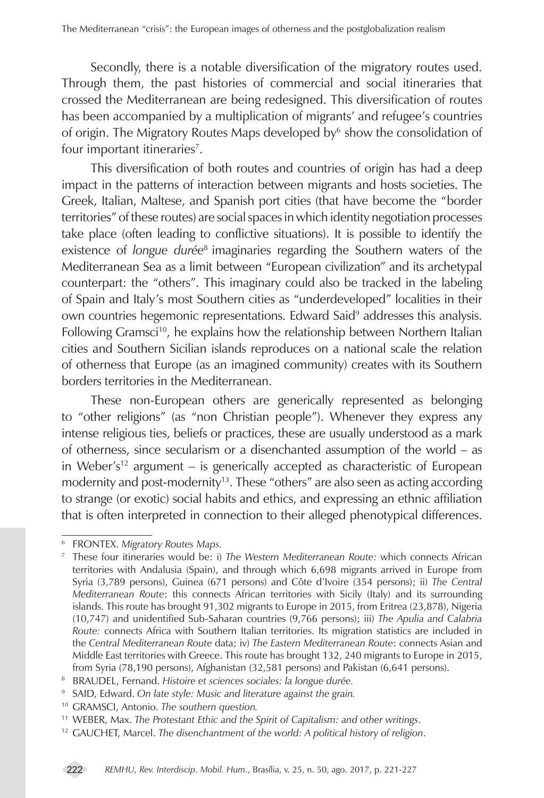Secondly, there is a notable diversification of the migratory routes used. Through them, the past histories of commercial and social itineraries that crossed the Mediterranean are being redesigned. This diversification of routes has been accompanied by a multiplication of migrants' and refugee's countries of origin. The Migratory Routes Maps developed by<sup>6</sup> show the consolidation of four important itineraries<sup>7</sup>.

This diversification of both routes and countries of origin has had a deep impact in the patterns of interaction between migrants and hosts societies. The Greek, Italian, Maltese, and Spanish port cities (that have become the "border territories" of these routes) are social spaces in which identity negotiation processes take place (often leading to conflictive situations). It is possible to identify the existence of *longue durée<sup>s</sup>* imaginaries regarding the Southern waters of the Mediterranean Sea as a limit between "European civilization" and its archetypal counterpart: the "others". This imaginary could also be tracked in the labeling of Spain and Italy's most Southern cities as "underdeveloped" localities in their own countries hegemonic representations. Edward Said<sup>9</sup> addresses this analysis. Following Gramsci<sup>10</sup>, he explains how the relationship between Northern Italian cities and Southern Sicilian islands reproduces on a national scale the relation of otherness that Europe (as an imagined community) creates with its Southern borders territories in the Mediterranean.

These non-European others are generically represented as belonging to "other religions" (as "non Christian people"). Whenever they express any intense religious ties, beliefs or practices, these are usually understood as a mark of otherness, since secularism or a disenchanted assumption of the world – as in Weber's<sup>12</sup> argument – is generically accepted as characteristic of European modernity and post-modernity<sup>13</sup>. These "others" are also seen as acting according to strange (or exotic) social habits and ethics, and expressing an ethnic affiliation that is often interpreted in connection to their alleged phenotypical differences.

<sup>67</sup> FRONTEX. *Migratory Routes Maps.*

<sup>78</sup> These four itineraries would be: i) *The Western Mediterranean Route:* which connects African territories with Andalusia (Spain), and through which 6,698 migrants arrived in Europe from Syria (3,789 persons), Guinea (671 persons) and Côte d'Ivoire (354 persons); ii) *The Central Mediterranean Route*: this connects African territories with Sicily (Italy) and its surrounding islands. This route has brought 91,302 migrants to Europe in 2015, from Eritrea (23,878), Nigeria (10,747) and unidentified Sub-Saharan countries (9,766 persons); iii) *The Apulia and Calabria Route:* connects Africa with Southern Italian territories. Its migration statistics are included in the *Central Mediterranean Route* data; iv) *The Eastern Mediterranean Route*: connects Asian and Middle East territories with Greece. This route has brought 132, 240 migrants to Europe in 2015, from Syria (78,190 persons), Afghanistan (32,581 persons) and Pakistan (6,641 persons).

<sup>89</sup> BRAUDEL, Fernand. *Histoire et sciences sociales: la longue durée.*

<sup>&</sup>lt;sup>9</sup> SAID, Edward. On late style: Music and literature against the grain.

<sup>&</sup>lt;sup>10</sup> GRAMSCI, Antonio. The southern question.

<sup>&</sup>lt;sup>11</sup> WEBER, Max. The Protestant Ethic and the Spirit of Capitalism: and other writings.

<sup>&</sup>lt;sup>12</sup> GAUCHET, Marcel. The disenchantment of the world: A political history of religion.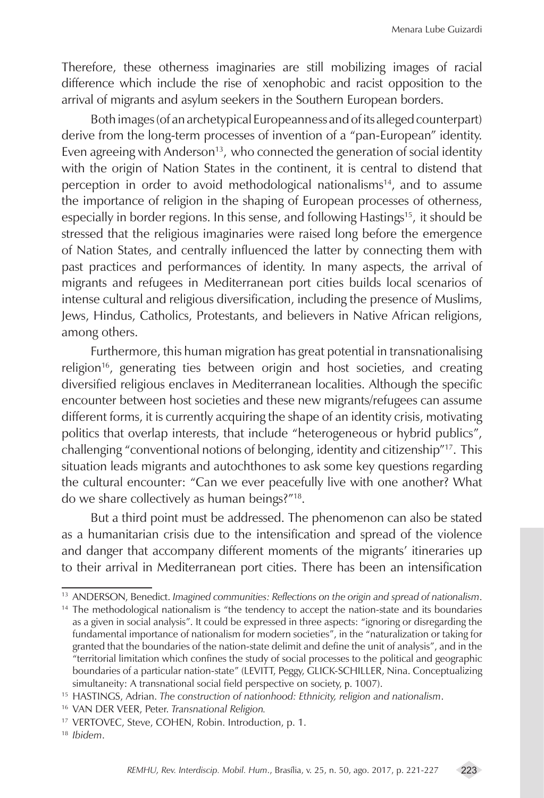Therefore, these otherness imaginaries are still mobilizing images of racial difference which include the rise of xenophobic and racist opposition to the arrival of migrants and asylum seekers in the Southern European borders.

Both images (of an archetypical Europeanness and of its alleged counterpart) derive from the long-term processes of invention of a "pan-European" identity. Even agreeing with Anderson<sup>13</sup>, who connected the generation of social identity with the origin of Nation States in the continent, it is central to distend that perception in order to avoid methodological nationalisms<sup>14</sup>, and to assume the importance of religion in the shaping of European processes of otherness, especially in border regions. In this sense, and following Hastings<sup>15</sup>, it should be stressed that the religious imaginaries were raised long before the emergence of Nation States, and centrally influenced the latter by connecting them with past practices and performances of identity. In many aspects, the arrival of migrants and refugees in Mediterranean port cities builds local scenarios of intense cultural and religious diversification, including the presence of Muslims, Jews, Hindus, Catholics, Protestants, and believers in Native African religions, among others.

Furthermore, this human migration has great potential in transnationalising religion<sup>16</sup>, generating ties between origin and host societies, and creating diversified religious enclaves in Mediterranean localities. Although the specific encounter between host societies and these new migrants/refugees can assume different forms, it is currently acquiring the shape of an identity crisis, motivating politics that overlap interests, that include "heterogeneous or hybrid publics", challenging "conventional notions of belonging, identity and citizenship"<sup>17</sup>. This situation leads migrants and autochthones to ask some key questions regarding the cultural encounter: "Can we ever peacefully live with one another? What do we share collectively as human beings?"18. 19

But a third point must be addressed. The phenomenon can also be stated as a humanitarian crisis due to the intensification and spread of the violence and danger that accompany different moments of the migrants' itineraries up to their arrival in Mediterranean port cities. There has been an intensification

<sup>&</sup>lt;sup>13</sup> ANDERSON, Benedict. *Imagined communities: Reflections on the origin and spread of nationalism*.

<sup>&</sup>lt;sup>14</sup> The methodological nationalism is "the tendency to accept the nation-state and its boundaries as a given in social analysis". It could be expressed in three aspects: "ignoring or disregarding the fundamental importance of nationalism for modern societies", in the "naturalization or taking for granted that the boundaries of the nation-state delimit and define the unit of analysis", and in the  $\alpha$ <sup>"</sup>territorial limitation which confines the study of social processes to the political and geographic boundaries of a particular nation-state" (LEVITT, Peggy, GLICK-SCHILLER, Nina. Conceptualizing simultaneity: A transnational social field perspective on society, p. 1007).

<sup>&</sup>lt;sup>15</sup> HASTINGS, Adrian. The construction of nationhood: Ethnicity, religion and nationalism.

<sup>&</sup>lt;sup>16</sup> VAN DER VEER, Peter. *Transnational Religion*.

<sup>&</sup>lt;sup>17</sup> VERTOVEC, Steve, COHEN, Robin. Introduction, p. 1.

<sup>1819</sup>*Ibidem*.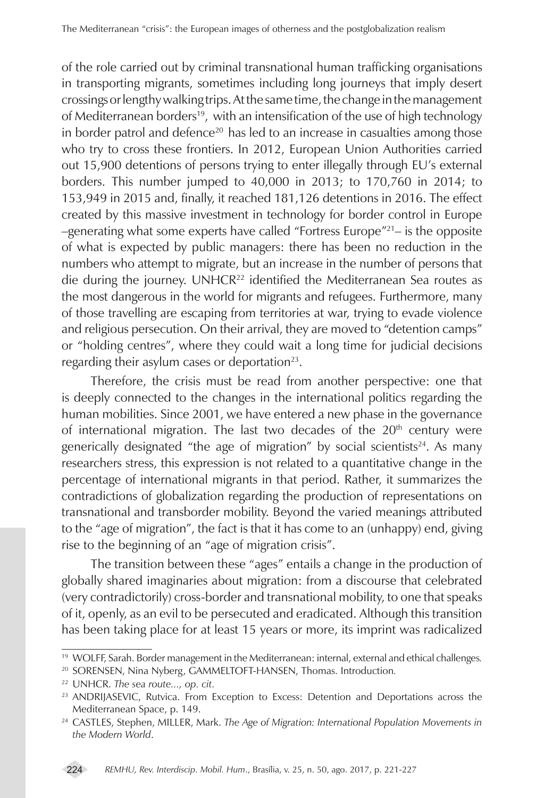of the role carried out by criminal transnational human trafficking organisations in transporting migrants, sometimes including long journeys that imply desert crossings or lengthy walking trips. At the same time, the change in the management of Mediterranean borders<sup>19</sup>, with an intensification of the use of high technology in border patrol and defence<sup>20</sup> has led to an increase in casualties among those who try to cross these frontiers. In 2012, European Union Authorities carried out 15,900 detentions of persons trying to enter illegally through EU's external borders. This number jumped to 40,000 in 2013; to 170,760 in 2014; to 153,949 in 2015 and, finally, it reached 181,126 detentions in 2016. The effect created by this massive investment in technology for border control in Europe  $-$ generating what some experts have called "Fortress Europe"<sup>21</sup>– is the opposite of what is expected by public managers: there has been no reduction in the numbers who attempt to migrate, but an increase in the number of persons that die during the journey. UNHCR<sup>22</sup> identified the Mediterranean Sea routes as the most dangerous in the world for migrants and refugees. Furthermore, many of those travelling are escaping from territories at war, trying to evade violence and religious persecution. On their arrival, they are moved to "detention camps" or "holding centres", where they could wait a long time for judicial decisions regarding their asylum cases or deportation $^{23}$ .

Therefore, the crisis must be read from another perspective: one that is deeply connected to the changes in the international politics regarding the human mobilities. Since 2001, we have entered a new phase in the governance of international migration. The last two decades of the  $20<sup>th</sup>$  century were generically designated "the age of migration" by social scientists<sup>24</sup>. As many researchers stress, this expression is not related to a quantitative change in the percentage of international migrants in that period. Rather, it summarizes the contradictions of globalization regarding the production of representations on transnational and transborder mobility. Beyond the varied meanings attributed to the "age of migration", the fact is that it has come to an (unhappy) end, giving rise to the beginning of an "age of migration crisis".

The transition between these "ages" entails a change in the production of globally shared imaginaries about migration: from a discourse that celebrated (very contradictorily) cross-border and transnational mobility, to one that speaks of it, openly, as an evil to be persecuted and eradicated. Although this transition has been taking place for at least 15 years or more, its imprint was radicalized

<sup>&</sup>lt;sup>19</sup> WOLFF, Sarah. Border management in the Mediterranean: internal, external and ethical challenges.

<sup>&</sup>lt;sup>20</sup> SORENSEN, Nina Nyberg, GAMMELTOFT-HANSEN, Thomas. Introduction.

<sup>2222</sup>UNHCR. *The sea route..., op. cit.*

<sup>&</sup>lt;sup>23</sup> ANDRIJASEVIC, Rutvica. From Exception to Excess: Detention and Deportations across the Mediterranean Space, p. 149.

<sup>&</sup>lt;sup>24</sup> CASTLES, Stephen, MILLER, Mark. *The Age of Migration: International Population Movements in the Modern World*.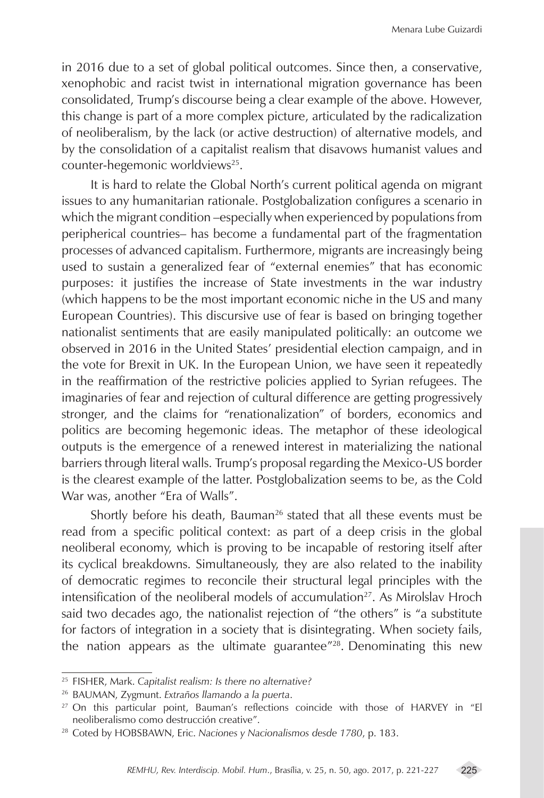in 2016 due to a set of global political outcomes. Since then, a conservative, xenophobic and racist twist in international migration governance has been consolidated, Trump's discourse being a clear example of the above. However, this change is part of a more complex picture, articulated by the radicalization of neoliberalism, by the lack (or active destruction) of alternative models, and by the consolidation of a capitalist realism that disavows humanist values and counter-hegemonic worldviews<sup>25</sup>.

It is hard to relate the Global North's current political agenda on migrant issues to any humanitarian rationale. Postglobalization configures a scenario in which the migrant condition –especially when experienced by populations from peripherical countries– has become a fundamental part of the fragmentation processes of advanced capitalism. Furthermore, migrants are increasingly being used to sustain a generalized fear of "external enemies" that has economic purposes: it justifies the increase of State investments in the war industry (which happens to be the most important economic niche in the US and many European Countries). This discursive use of fear is based on bringing together nationalist sentiments that are easily manipulated politically: an outcome we observed in 2016 in the United States' presidential election campaign, and in the vote for Brexit in UK. In the European Union, we have seen it repeatedly in the reaffirmation of the restrictive policies applied to Syrian refugees. The imaginaries of fear and rejection of cultural difference are getting progressively stronger, and the claims for "renationalization" of borders, economics and politics are becoming hegemonic ideas. The metaphor of these ideological outputs is the emergence of a renewed interest in materializing the national barriers through literal walls. Trump's proposal regarding the Mexico-US border is the clearest example of the latter. Postglobalization seems to be, as the Cold War was, another "Era of Walls".

Shortly before his death, Bauman<sup>26</sup> stated that all these events must be read from a specific political context: as part of a deep crisis in the global neoliberal economy, which is proving to be incapable of restoring itself after its cyclical breakdowns. Simultaneously, they are also related to the inability of democratic regimes to reconcile their structural legal principles with the intensification of the neoliberal models of accumulation<sup>27</sup>. As Mirolslav Hroch said two decades ago, the nationalist rejection of "the others" is "a substitute for factors of integration in a society that is disintegrating. When society fails, the nation appears as the ultimate guarantee"<sup>28</sup>. Denominating this new

<sup>&</sup>lt;sup>25</sup> FISHER, Mark. Capitalist realism: Is there no alternative?

<sup>2626</sup>BAUMAN, Zygmunt. *Extraños llamando a la puerta*.

<sup>&</sup>lt;sup>27</sup> On this particular point, Bauman's reflections coincide with those of HARVEY in "El neoliberalismo como destrucción creative".

<sup>&</sup>lt;sup>28</sup> Coted by HOBSBAWN, Eric. *Naciones y Nacionalismos desde 1780*, p. 183.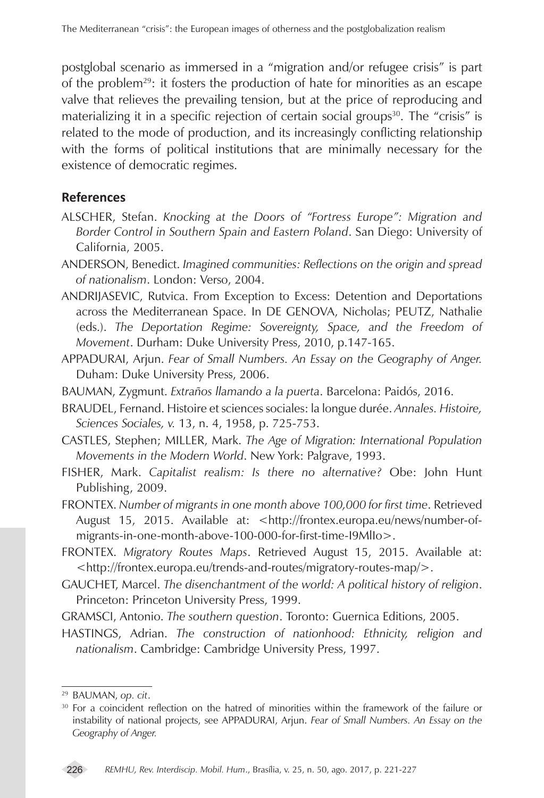postglobal scenario as immersed in a "migration and/or refugee crisis" is part of the problem<sup>29</sup>: it fosters the production of hate for minorities as an escape valve that relieves the prevailing tension, but at the price of reproducing and materializing it in a specific rejection of certain social groups<sup>30</sup>. The "crisis" is related to the mode of production, and its increasingly conflicting relationship with the forms of political institutions that are minimally necessary for the existence of democratic regimes.

## **References**

- ALSCHER, Stefan. *Knocking at the Doors of "Fortress Europe": Migration and Border Control in Southern Spain and Eastern Poland*. San Diego: University of California, 2005.
- ANDERSON, Benedict. *Imagined communities: Reflections on the origin and spread of nationalism*. London: Verso, 2004.
- ANDRIJASEVIC, Rutvica. From Exception to Excess: Detention and Deportations across the Mediterranean Space. In DE GENOVA, Nicholas; PEUTZ, Nathalie (eds.). *The Deportation Regime: Sovereignty, Space, and the Freedom of Movement*. Durham: Duke University Press, 2010, p.147-165.
- APPADURAI, Arjun. *Fear of Small Numbers. An Essay on the Geography of Anger.*  Duham: Duke University Press, 2006.
- BAUMAN, Zygmunt. *Extraños llamando a la puerta*. Barcelona: Paidós, 2016.
- BRAUDEL, Fernand. Histoire et sciences sociales: la longue durée. *Annales. Histoire, Sciences Sociales, v.* 13, n. 4, 1958, p. 725-753.
- CASTLES, Stephen; MILLER, Mark. *The Age of Migration: International Population Movements in the Modern World*. New York: Palgrave, 1993.
- FISHER, Mark. *Capitalist realism: Is there no alternative?* Obe: John Hunt Publishing, 2009.
- FRONTEX. *Number of migrants in one month above 100,000 for first time*. Retrieved August 15, 2015. Available at: <http://frontex.europa.eu/news/number-ofmigrants-in-one-month-above-100-000-for-first-time-I9MlIo>.
- FRONTEX. *Migratory Routes Maps*. Retrieved August 15, 2015. Available at: <http://frontex.europa.eu/trends-and-routes/migratory-routes-map/>.
- GAUCHET, Marcel. *The disenchantment of the world: A political history of religion*. Princeton: Princeton University Press, 1999.
- GRAMSCI, Antonio. *The southern question*. Toronto: Guernica Editions, 2005.
- HASTINGS, Adrian. *The construction of nationhood: Ethnicity, religion and nationalism*. Cambridge: Cambridge University Press, 1997.

<sup>&</sup>lt;sup>29</sup> BAUMAN, *op. cit*.<br><sup>30</sup> For a coincident reflection on the hatred of minorities within the framework of the failure or instability of national projects, see APPADURAI, Arjun. *Fear of Small Numbers. An Essay on the Geography of Anger.*